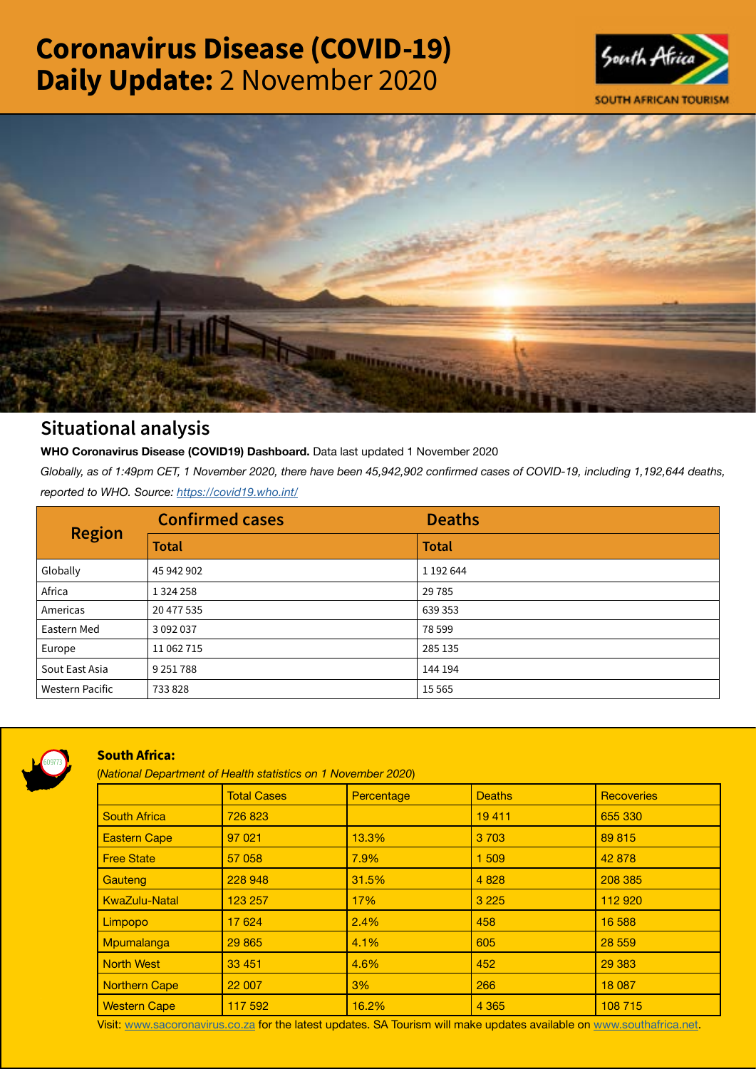# Coronavirus Disease (COVID-19) Daily Update: 2 November 2020





## Situational analysis

**WHO Coronavirus Disease (COVID19) Dashboard.** Data last updated 1 November 2020

*Globally, as of 1:49pm CET, 1 November 2020, there have been 45,942,902 confirmed cases of COVID-19, including 1,192,644 deaths, reported to WHO. Source:<https://covid19.who.int/>*

| <b>Region</b>          | <b>Confirmed cases</b> | <b>Deaths</b> |
|------------------------|------------------------|---------------|
|                        | <b>Total</b>           | <b>Total</b>  |
| Globally               | 45 942 902             | 1 192 644     |
| Africa                 | 1 3 2 4 2 5 8          | 29785         |
| Americas               | 20 477 535             | 639 353       |
| Eastern Med            | 3 0 9 2 0 3 7          | 78 599        |
| Europe                 | 11 062 715             | 285 135       |
| Sout East Asia         | 9 2 5 1 7 8 8          | 144 194       |
| <b>Western Pacific</b> | 733828                 | 15 5 65       |



### South Africa:

(*National Department of Health statistics on 1 November 2020*)

|                      | <b>Total Cases</b> | Percentage | <b>Deaths</b> | <b>Recoveries</b> |  |  |
|----------------------|--------------------|------------|---------------|-------------------|--|--|
| <b>South Africa</b>  | 726 823            |            | 19411         | 655 330           |  |  |
| <b>Eastern Cape</b>  | 97 021             | 13.3%      | 3 7 0 3       | 89 815            |  |  |
| <b>Free State</b>    | 57 058             | 7.9%       | 1 509         | 42 878            |  |  |
| Gauteng              | 228 948            | 31.5%      | 4 8 28        | 208 385           |  |  |
| <b>KwaZulu-Natal</b> | 123 257            | 17%        | 3 2 2 5       | 112 920           |  |  |
| Limpopo              | 17 624             | 2.4%       | 458           | 16 588            |  |  |
| Mpumalanga           | 29 865             | 4.1%       | 605           | 28 559            |  |  |
| <b>North West</b>    | 33 451             | 4.6%       | 452           | 29 3 83           |  |  |
| <b>Northern Cape</b> | 22 007             | 3%         | 266           | 18 087            |  |  |
| <b>Western Cape</b>  | 117 592            | 16.2%      | 4 3 6 5       | 108 715           |  |  |

Visit: [www.sacoronavirus.co.za](http://www.sacoronavirus.co.za) for the latest updates. SA Tourism will make updates available on [www.southafrica.net.](http://www.southafrica.net)